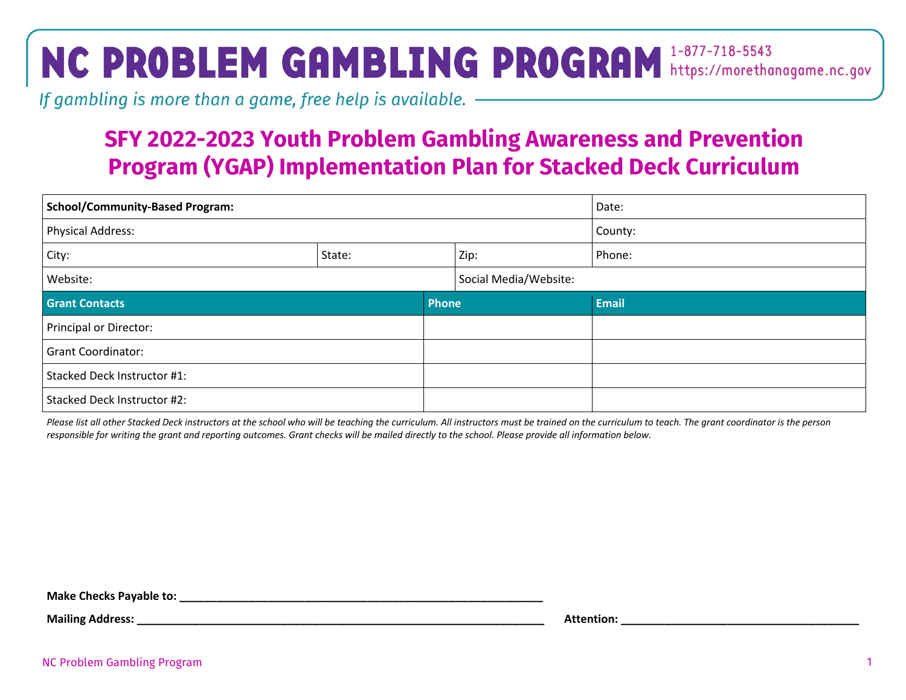## NC PROBLEM GAMBLING PROGRAM 1-877-718-5543

If gambling is more than a game, free help is available. ————————————————————

## **SFY 2022-2023 Youth Problem Gambling Awareness and Prevention Program (YGAP) Implementation Plan for Stacked Deck Curriculum**

| <b>School/Community-Based Program:</b> |        |                       | Date:        |
|----------------------------------------|--------|-----------------------|--------------|
| <b>Physical Address:</b>               |        | County:               |              |
| City:                                  | State: | Zip:                  | Phone:       |
| Website:                               |        | Social Media/Website: |              |
| <b>Grant Contacts</b><br>Phone         |        |                       | <b>Email</b> |
| <b>Principal or Director:</b>          |        |                       |              |
| <b>Grant Coordinator:</b>              |        |                       |              |
| Stacked Deck Instructor #1:            |        |                       |              |
| Stacked Deck Instructor #2:            |        |                       |              |

*Please list all other Stacked Deck instructors at the school who will be teaching the curriculum. All instructors must be trained on the curriculum to teach. The grant coordinator is the person responsible for writing the grant and reporting outcomes. Grant checks will be mailed directly to the school. Please provide all information below.* 

**Make Checks Payable to: \_\_\_\_\_\_\_\_\_\_\_\_\_\_\_\_\_\_\_\_\_\_\_\_\_\_\_\_\_\_\_\_\_\_\_\_\_\_\_\_\_\_\_\_\_\_\_\_\_\_\_\_\_\_\_\_\_\_**

**Mailing Address: with a straight a straight and straight a straight a straight a straight a straight a straight a straight a straight a straight a straight a straight a straight a straight a straight a straight a straig**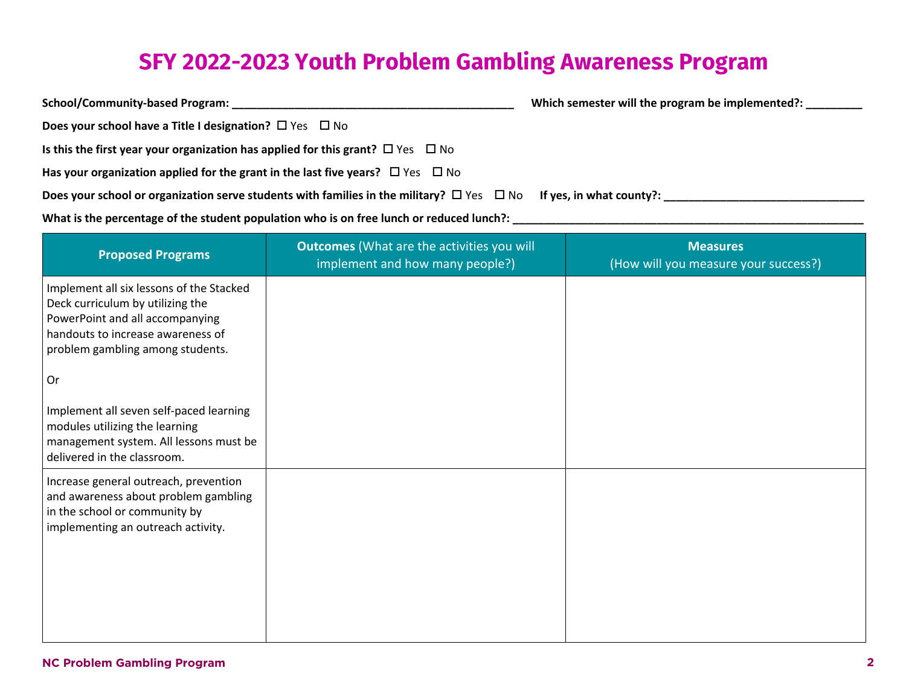## **SFY 2022-2023 Youth Problem Gambling Awareness Program**

| School/Community-based Program:                                                                                              | Which semester will the program be implemented?: |
|------------------------------------------------------------------------------------------------------------------------------|--------------------------------------------------|
| Does your school have a Title I designation? $\Box$ Yes $\Box$ No                                                            |                                                  |
| Is this the first year your organization has applied for this grant? $\Box$ Yes $\Box$ No                                    |                                                  |
| Has your organization applied for the grant in the last five years? $\Box$ Yes $\Box$ No                                     |                                                  |
| Does your school or organization serve students with families in the military? $\Box$ Yes $\Box$ No If yes, in what county?: |                                                  |
| What is the percentage of the student population who is on free lunch or reduced lunch?:                                     |                                                  |

| <b>Proposed Programs</b>                                                                                                                                                                 | <b>Outcomes</b> (What are the activities you will<br>implement and how many people?) | <b>Measures</b><br>(How will you measure your success?) |
|------------------------------------------------------------------------------------------------------------------------------------------------------------------------------------------|--------------------------------------------------------------------------------------|---------------------------------------------------------|
| Implement all six lessons of the Stacked<br>Deck curriculum by utilizing the<br>PowerPoint and all accompanying<br>handouts to increase awareness of<br>problem gambling among students. |                                                                                      |                                                         |
| 0r                                                                                                                                                                                       |                                                                                      |                                                         |
| Implement all seven self-paced learning<br>modules utilizing the learning<br>management system. All lessons must be<br>delivered in the classroom.                                       |                                                                                      |                                                         |
| Increase general outreach, prevention<br>and awareness about problem gambling<br>in the school or community by<br>implementing an outreach activity.                                     |                                                                                      |                                                         |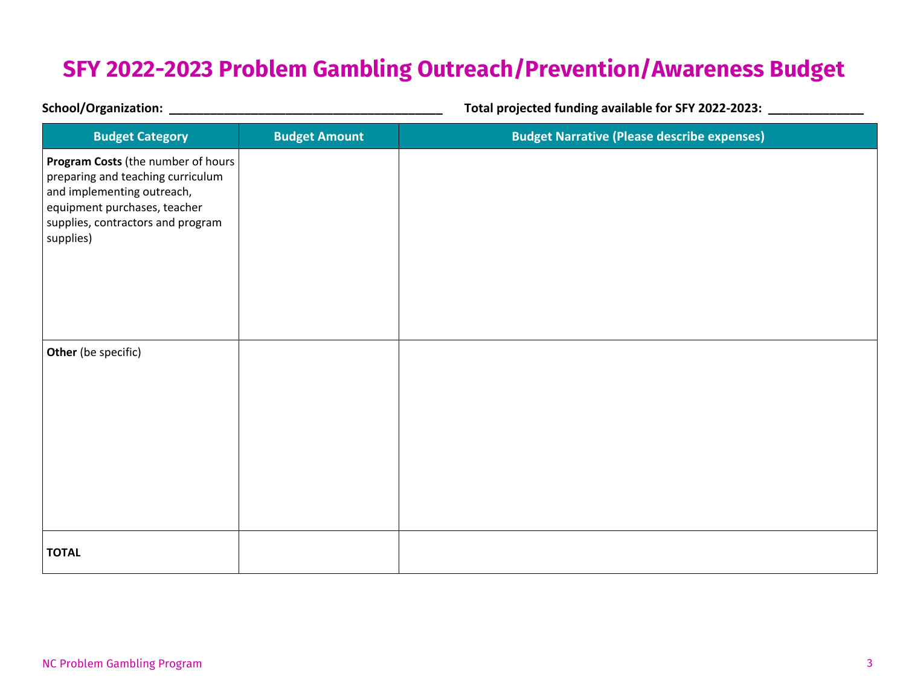## **SFY 2022-2023 Problem Gambling Outreach/Prevention/Awareness Budget**

| <b>School/Organization:</b>                                                                                                                                                             |                      | Total projected funding available for SFY 2022-2023: |  |
|-----------------------------------------------------------------------------------------------------------------------------------------------------------------------------------------|----------------------|------------------------------------------------------|--|
| <b>Budget Category</b>                                                                                                                                                                  | <b>Budget Amount</b> | <b>Budget Narrative (Please describe expenses)</b>   |  |
| Program Costs (the number of hours<br>preparing and teaching curriculum<br>and implementing outreach,<br>equipment purchases, teacher<br>supplies, contractors and program<br>supplies) |                      |                                                      |  |
| Other (be specific)                                                                                                                                                                     |                      |                                                      |  |
| <b>TOTAL</b>                                                                                                                                                                            |                      |                                                      |  |